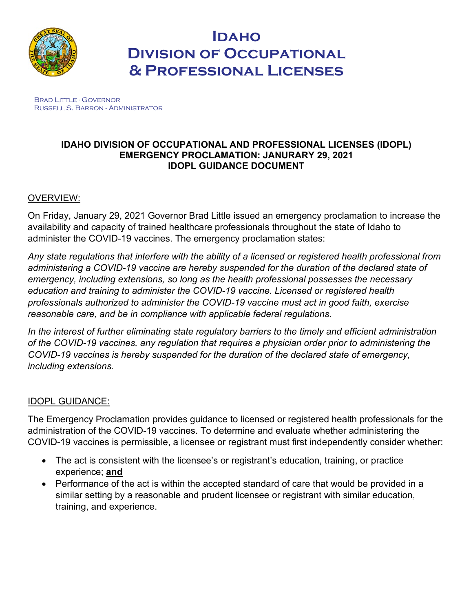

# **Idaho Division of Occupational & Professional Licenses**

Brad Little - Governor Russell S. Barron - Administrator

### **IDAHO DIVISION OF OCCUPATIONAL AND PROFESSIONAL LICENSES (IDOPL) EMERGENCY PROCLAMATION: JANURARY 29, 2021 IDOPL GUIDANCE DOCUMENT**

# OVERVIEW:

On Friday, January 29, 2021 Governor Brad Little issued an emergency proclamation to increase the availability and capacity of trained healthcare professionals throughout the state of Idaho to administer the COVID-19 vaccines. The emergency proclamation states:

*Any state regulations that interfere with the ability of a licensed or registered health professional from administering a COVID-19 vaccine are hereby suspended for the duration of the declared state of emergency, including extensions, so long as the health professional possesses the necessary education and training to administer the COVID-19 vaccine. Licensed or registered health professionals authorized to administer the COVID-19 vaccine must act in good faith, exercise reasonable care, and be in compliance with applicable federal regulations.* 

*In the interest of further eliminating state regulatory barriers to the timely and efficient administration of the COVID-19 vaccines, any regulation that requires a physician order prior to administering the COVID-19 vaccines is hereby suspended for the duration of the declared state of emergency, including extensions.* 

## IDOPL GUIDANCE:

The Emergency Proclamation provides guidance to licensed or registered health professionals for the administration of the COVID-19 vaccines. To determine and evaluate whether administering the COVID-19 vaccines is permissible, a licensee or registrant must first independently consider whether:

- The act is consistent with the licensee's or registrant's education, training, or practice experience; **and**
- Performance of the act is within the accepted standard of care that would be provided in a similar setting by a reasonable and prudent licensee or registrant with similar education, training, and experience.